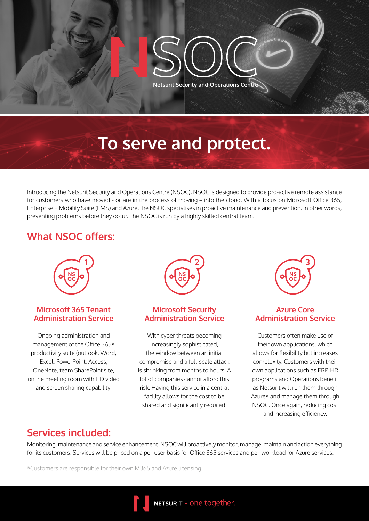

# **To serve and protect.**

Introducing the Netsurit Security and Operations Centre (NSOC). NSOC is designed to provide pro-active remote assistance for customers who have moved - or are in the process of moving – into the cloud. With a focus on Microsoft Office 365, Enterprise + Mobility Suite (EMS) and Azure, the NSOC specialises in proactive maintenance and prevention. In other words, preventing problems before they occur. The NSOC is run by a highly skilled central team.

## **What NSOC offers:**



### **Microsoft 365 Tenant Administration Service**

Ongoing administration and management of the Office 365\* productivity suite (outlook, Word, Excel, PowerPoint, Access, OneNote, team SharePoint site, online meeting room with HD video and screen sharing capability.



### **Microsoft Security Administration Service**

With cyber threats becoming increasingly sophisticated, the window between an initial compromise and a full-scale attack is shrinking from months to hours. A lot of companies cannot afford this risk. Having this service in a central facility allows for the cost to be shared and significantly reduced.



#### **Azure Core Administration Service**

Customers often make use of their own applications, which allows for flexibility but increases complexity. Customers with their own applications such as ERP, HR programs and Operations benefit as Netsurit will run them through Azure\* and manage them through NSOC. Once again, reducing cost and increasing efficiency.

### **Services included:**

Monitoring, maintenance and service enhancement. NSOC will proactively monitor, manage, maintain and action everything for its customers. Services will be priced on a per-user basis for Office 365 services and per-workload for Azure services.

\*Customers are responsible for their own M365 and Azure licensing.